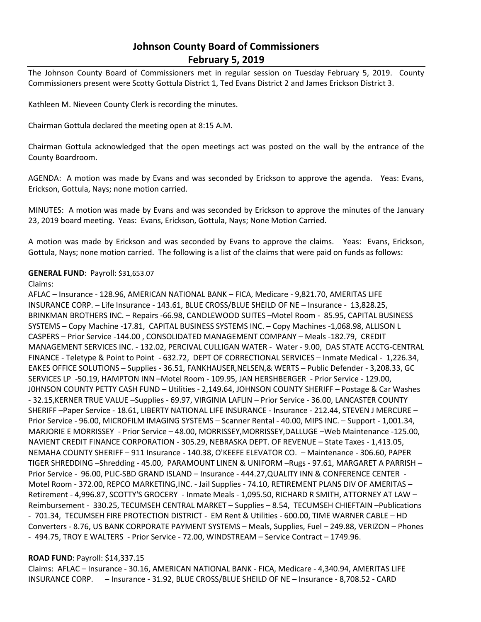## **Johnson County Board of Commissioners February 5, 2019**

The Johnson County Board of Commissioners met in regular session on Tuesday February 5, 2019. County Commissioners present were Scotty Gottula District 1, Ted Evans District 2 and James Erickson District 3.

Kathleen M. Nieveen County Clerk is recording the minutes.

Chairman Gottula declared the meeting open at 8:15 A.M.

Chairman Gottula acknowledged that the open meetings act was posted on the wall by the entrance of the County Boardroom.

AGENDA: A motion was made by Evans and was seconded by Erickson to approve the agenda. Yeas: Evans, Erickson, Gottula, Nays; none motion carried.

MINUTES: A motion was made by Evans and was seconded by Erickson to approve the minutes of the January 23, 2019 board meeting. Yeas: Evans, Erickson, Gottula, Nays; None Motion Carried.

A motion was made by Erickson and was seconded by Evans to approve the claims. Yeas: Evans, Erickson, Gottula, Nays; none motion carried. The following is a list of the claims that were paid on funds as follows:

## **GENERAL FUND**: Payroll: \$31,653.07

Claims:

AFLAC – Insurance - 128.96, AMERICAN NATIONAL BANK – FICA, Medicare - 9,821.70, AMERITAS LIFE INSURANCE CORP. – Life Insurance - 143.61, BLUE CROSS/BLUE SHEILD OF NE – Insurance - 13,828.25, BRINKMAN BROTHERS INC. – Repairs -66.98, CANDLEWOOD SUITES –Motel Room - 85.95, CAPITAL BUSINESS SYSTEMS – Copy Machine -17.81, CAPITAL BUSINESS SYSTEMS INC. – Copy Machines -1,068.98, ALLISON L CASPERS – Prior Service -144.00 , CONSOLIDATED MANAGEMENT COMPANY – Meals -182.79, CREDIT MANAGEMENT SERVICES INC. - 132.02, PERCIVAL CULLIGAN WATER - Water - 9.00, DAS STATE ACCTG-CENTRAL FINANCE - Teletype & Point to Point - 632.72, DEPT OF CORRECTIONAL SERVICES – Inmate Medical - 1,226.34, EAKES OFFICE SOLUTIONS – Supplies - 36.51, FANKHAUSER,NELSEN,& WERTS – Public Defender - 3,208.33, GC SERVICES LP -50.19, HAMPTON INN –Motel Room - 109.95, JAN HERSHBERGER - Prior Service - 129.00, J0HNSON COUNTY PETTY CASH FUND – Utilities - 2,149.64, JOHNSON COUNTY SHERIFF – Postage & Car Washes - 32.15,KERNER TRUE VALUE –Supplies - 69.97, VIRGINIA LAFLIN – Prior Service - 36.00, LANCASTER COUNTY SHERIFF –Paper Service - 18.61, LIBERTY NATIONAL LIFE INSURANCE - Insurance - 212.44, STEVEN J MERCURE – Prior Service - 96.00, MICROFILM IMAGING SYSTEMS – Scanner Rental - 40.00, MIPS INC. – Support - 1,001.34, MARJORIE E MORRISSEY - Prior Service – 48.00, MORRISSEY,MORRISSEY,DALLUGE –Web Maintenance -125.00, NAVIENT CREDIT FINANCE CORPORATION - 305.29, NEBRASKA DEPT. OF REVENUE – State Taxes - 1,413.05, NEMAHA COUNTY SHERIFF – 911 Insurance - 140.38, O'KEEFE ELEVATOR CO. – Maintenance - 306.60, PAPER TIGER SHREDDING –Shredding - 45.00, PARAMOUNT LINEN & UNIFORM –Rugs - 97.61, MARGARET A PARRISH – Prior Service - 96.00, PLIC-SBD GRAND ISLAND – Insurance - 444.27,QUALITY INN & CONFERENCE CENTER - Motel Room - 372.00, REPCO MARKETING,INC. - Jail Supplies - 74.10, RETIREMENT PLANS DIV OF AMERITAS – Retirement - 4,996.87, SCOTTY'S GROCERY - Inmate Meals - 1,095.50, RICHARD R SMITH, ATTORNEY AT LAW – Reimbursement - 330.25, TECUMSEH CENTRAL MARKET – Supplies – 8.54, TECUMSEH CHIEFTAIN –Publications - 701.34, TECUMSEH FIRE PROTECTION DISTRICT - EM Rent & Utilities - 600.00, TIME WARNER CABLE – HD Converters - 8.76, US BANK CORPORATE PAYMENT SYSTEMS – Meals, Supplies, Fuel – 249.88, VERIZON – Phones - 494.75, TROY E WALTERS - Prior Service - 72.00, WINDSTREAM – Service Contract – 1749.96.

## **ROAD FUND**: Payroll: \$14,337.15

Claims: AFLAC – Insurance - 30.16, AMERICAN NATIONAL BANK - FICA, Medicare - 4,340.94, AMERITAS LIFE INSURANCE CORP. – Insurance - 31.92, BLUE CROSS/BLUE SHEILD OF NE – Insurance - 8,708.52 - CARD